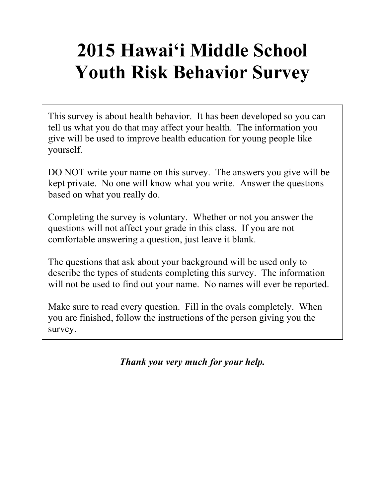# **2015 Hawai'i Middle School Youth Risk Behavior Survey**

This survey is about health behavior. It has been developed so you can tell us what you do that may affect your health. The information you give will be used to improve health education for young people like yourself.

DO NOT write your name on this survey. The answers you give will be kept private. No one will know what you write. Answer the questions based on what you really do.

Completing the survey is voluntary. Whether or not you answer the questions will not affect your grade in this class. If you are not comfortable answering a question, just leave it blank.

The questions that ask about your background will be used only to describe the types of students completing this survey. The information will not be used to find out your name. No names will ever be reported.

Make sure to read every question. Fill in the ovals completely. When you are finished, follow the instructions of the person giving you the survey.

*Thank you very much for your help.*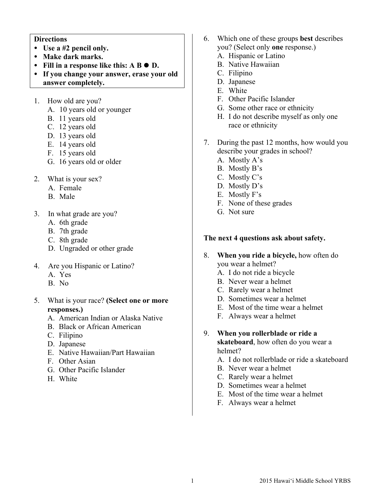## **Directions**

- ! **Use a #2 pencil only.**
- ! **Make dark marks.**
- Fill in a response like this: A **B**  $\bullet$  **D**.
- ! **If you change your answer, erase your old answer completely.**
- 1. How old are you?
	- A. 10 years old or younger
	- B. 11 years old
	- C. 12 years old
	- D. 13 years old
	- E. 14 years old
	- F. 15 years old
	- G. 16 years old or older
- 2. What is your sex?
	- A. Female
	- B. Male
- 3. In what grade are you?
	- A. 6th grade
	- B. 7th grade
	- C. 8th grade
	- D. Ungraded or other grade
- 4. Are you Hispanic or Latino?
	- A. Yes
	- B. No
- 5. What is your race? **(Select one or more responses.)**
	- A. American Indian or Alaska Native
	- B. Black or African American
	- C. Filipino
	- D. Japanese
	- E. Native Hawaiian/Part Hawaiian
	- F. Other Asian
	- G. Other Pacific Islander
	- H. White
- 6. Which one of these groups **best** describes you? (Select only **one** response.)
	- A. Hispanic or Latino
	- B. Native Hawaiian
	- C. Filipino
	- D. Japanese
	- E. White
	- F. Other Pacific Islander
	- G. Some other race or ethnicity
	- H. I do not describe myself as only one race or ethnicity
- 7. During the past 12 months, how would you describe your grades in school?
	- A. Mostly A's
	- B. Mostly B's
	- C. Mostly C's
	- D. Mostly D's
	- E. Mostly F's
	- F. None of these grades
	- G. Not sure

## **The next 4 questions ask about safety.**

- 8. **When you ride a bicycle,** how often do you wear a helmet?
	- A. I do not ride a bicycle
	- B. Never wear a helmet
	- C. Rarely wear a helmet
	- D. Sometimes wear a helmet
	- E. Most of the time wear a helmet
	- F. Always wear a helmet
- 9. **When you rollerblade or ride a skateboard**, how often do you wear a
	- helmet? A. I do not rollerblade or ride a skateboard
	- B. Never wear a helmet
	- C. Rarely wear a helmet
	- D. Sometimes wear a helmet
	- E. Most of the time wear a helmet
	- F. Always wear a helmet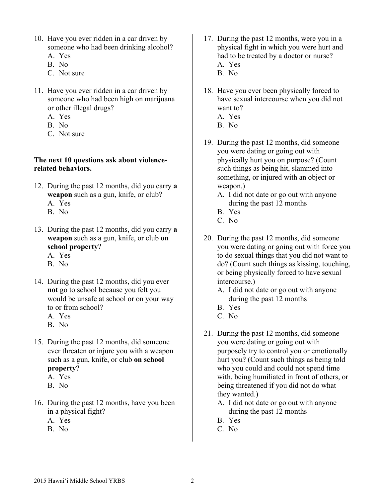- 10. Have you ever ridden in a car driven by someone who had been drinking alcohol?
	- A. Yes
	- B. No
	- C. Not sure
- 11. Have you ever ridden in a car driven by someone who had been high on marijuana or other illegal drugs?
	- A. Yes
	- B. No
	- C. Not sure

### **The next 10 questions ask about violencerelated behaviors.**

- 12. During the past 12 months, did you carry **a weapon** such as a gun, knife, or club? A. Yes
	- B. No
- 13. During the past 12 months, did you carry **a weapon** such as a gun, knife, or club **on school property**?
	- A. Yes
	- B. No
- 14. During the past 12 months, did you ever **not** go to school because you felt you would be unsafe at school or on your way to or from school?
	- A. Yes
	- B. No
- 15. During the past 12 months, did someone ever threaten or injure you with a weapon such as a gun, knife, or club **on school property**?
	- A. Yes
	- B. No
- 16. During the past 12 months, have you been in a physical fight?
	- A. Yes
	- B. No
- 17. During the past 12 months, were you in a physical fight in which you were hurt and had to be treated by a doctor or nurse? A. Yes B. No
- 18. Have you ever been physically forced to have sexual intercourse when you did not want to?
	- A. Yes
	- B. No
- 19. During the past 12 months, did someone you were dating or going out with physically hurt you on purpose? (Count such things as being hit, slammed into something, or injured with an object or weapon.)
	- A. I did not date or go out with anyone during the past 12 months
	- B. Yes
	- C. No
- 20. During the past 12 months, did someone you were dating or going out with force you to do sexual things that you did not want to do? (Count such things as kissing, touching, or being physically forced to have sexual intercourse.)
	- A. I did not date or go out with anyone during the past 12 months
	- B. Yes
	- C. No
- 21. During the past 12 months, did someone you were dating or going out with purposely try to control you or emotionally hurt you? (Count such things as being told who you could and could not spend time with, being humiliated in front of others, or being threatened if you did not do what they wanted.)
	- A. I did not date or go out with anyone during the past 12 months
	- B. Yes
	- C. No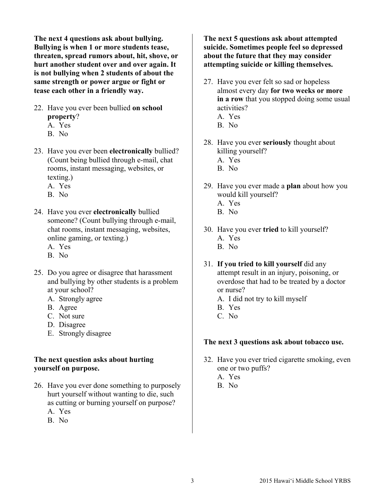**The next 4 questions ask about bullying. Bullying is when 1 or more students tease, threaten, spread rumors about, hit, shove, or hurt another student over and over again. It is not bullying when 2 students of about the same strength or power argue or fight or tease each other in a friendly way.**

- 22. Have you ever been bullied **on school property**?
	- A. Yes
	- B. No
- 23. Have you ever been **electronically** bullied? (Count being bullied through e-mail, chat rooms, instant messaging, websites, or texting.)
	- A. Yes
	- B. No
- 24. Have you ever **electronically** bullied someone? (Count bullying through e-mail, chat rooms, instant messaging, websites, online gaming, or texting.) A. Yes
	-
	- B. No
- 25. Do you agree or disagree that harassment and bullying by other students is a problem at your school?
	- A. Strongly agree
	- B. Agree
	- C. Not sure
	- D. Disagree
	- E. Strongly disagree

# **The next question asks about hurting yourself on purpose.**

- 26. Have you ever done something to purposely hurt yourself without wanting to die, such as cutting or burning yourself on purpose? A. Yes
	- B. No

**The next 5 questions ask about attempted suicide. Sometimes people feel so depressed about the future that they may consider attempting suicide or killing themselves.**

- 27. Have you ever felt so sad or hopeless almost every day **for two weeks or more in a row** that you stopped doing some usual activities? A. Yes
	- B. No
- 28. Have you ever **seriously** thought about killing yourself? A. Yes B. No
- 29. Have you ever made a **plan** about how you would kill yourself? A. Yes
	- B. No
- 30. Have you ever **tried** to kill yourself? A. Yes B. No
- 31. **If you tried to kill yourself** did any attempt result in an injury, poisoning, or overdose that had to be treated by a doctor or nurse?
	- A. I did not try to kill myself
	- B. Yes
	- C. No

# **The next 3 questions ask about tobacco use.**

- 32. Have you ever tried cigarette smoking, even one or two puffs?
	- A. Yes
	- B. No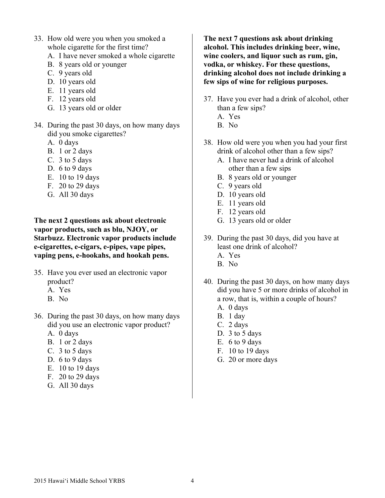- 33. How old were you when you smoked a whole cigarette for the first time?
	- A. I have never smoked a whole cigarette
	- B. 8 years old or younger
	- C. 9 years old
	- D. 10 years old
	- E. 11 years old
	- F. 12 years old
	- G. 13 years old or older
- 34. During the past 30 days, on how many days did you smoke cigarettes?
	- A. 0 days
	- B. 1 or 2 days
	- C. 3 to 5 days
	- D. 6 to 9 days
	- E. 10 to 19 days
	- F. 20 to 29 days
	- G. All 30 days

**The next 2 questions ask about electronic vapor products, such as blu, NJOY, or Starbuzz. Electronic vapor products include e-cigarettes, e-cigars, e-pipes, vape pipes, vaping pens, e-hookahs, and hookah pens.**

- 35. Have you ever used an electronic vapor product?
	- A. Yes
	- B. No
- 36. During the past 30 days, on how many days did you use an electronic vapor product?
	- A. 0 days
	- B. 1 or 2 days
	- C. 3 to 5 days
	- D. 6 to 9 days
	- E. 10 to 19 days
	- F. 20 to 29 days
	- G. All 30 days

**The next 7 questions ask about drinking alcohol. This includes drinking beer, wine, wine coolers, and liquor such as rum, gin, vodka, or whiskey. For these questions, drinking alcohol does not include drinking a few sips of wine for religious purposes.**

- 37. Have you ever had a drink of alcohol, other than a few sips?
	- A. Yes
	- B. No
- 38. How old were you when you had your first drink of alcohol other than a few sips?
	- A. I have never had a drink of alcohol other than a few sips
	- B. 8 years old or younger
	- C. 9 years old
	- D. 10 years old
	- E. 11 years old
	- F. 12 years old
	- G. 13 years old or older
- 39. During the past 30 days, did you have at least one drink of alcohol?
	- A. Yes
	- B. No
- 40. During the past 30 days, on how many days did you have 5 or more drinks of alcohol in a row, that is, within a couple of hours? A. 0 days
	- B. 1 day
	- C. 2 days
	- D. 3 to 5 days
	- E. 6 to 9 days
	- F. 10 to 19 days
	- G. 20 or more days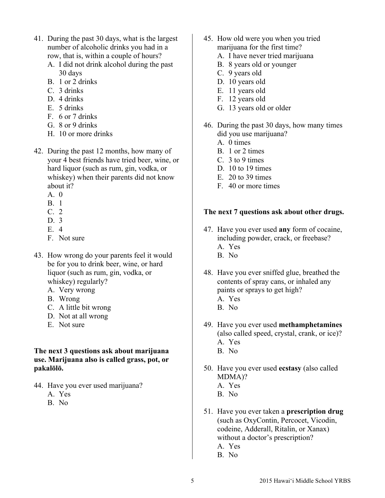- 41. During the past 30 days, what is the largest number of alcoholic drinks you had in a row, that is, within a couple of hours?
	- A. I did not drink alcohol during the past 30 days
	- B. 1 or 2 drinks
	- C. 3 drinks
	- D. 4 drinks
	- E. 5 drinks
	- F. 6 or 7 drinks
	- G. 8 or 9 drinks
	- H. 10 or more drinks
- 42. During the past 12 months, how many of your 4 best friends have tried beer, wine, or hard liquor (such as rum, gin, vodka, or whiskey) when their parents did not know about it?
	- $A \quad 0$
	- B. 1
	- C. 2
	- D. 3
	- E. 4
	- F. Not sure
- 43. How wrong do your parents feel it would be for you to drink beer, wine, or hard liquor (such as rum, gin, vodka, or whiskey) regularly?
	- A. Very wrong
	- B. Wrong
	- C. A little bit wrong
	- D. Not at all wrong
	- E. Not sure

## **The next 3 questions ask about marijuana use. Marijuana also is called grass, pot, or pakalōlō.**

- 44. Have you ever used marijuana?
	- A. Yes
	- B. No
- 45. How old were you when you tried marijuana for the first time?
	- A. I have never tried marijuana
	- B. 8 years old or younger
	- C. 9 years old
	- D. 10 years old
	- E. 11 years old
	- F. 12 years old
	- G. 13 years old or older
- 46. During the past 30 days, how many times did you use marijuana?
	- A. 0 times
	- B. 1 or 2 times
	- C. 3 to 9 times
	- D. 10 to 19 times
	- E. 20 to 39 times
	- F. 40 or more times

# **The next 7 questions ask about other drugs.**

- 47. Have you ever used **any** form of cocaine, including powder, crack, or freebase? A. Yes
	- B. No
- 48. Have you ever sniffed glue, breathed the contents of spray cans, or inhaled any paints or sprays to get high?
	- A. Yes
	- B. No
- 49. Have you ever used **methamphetamines** (also called speed, crystal, crank, or ice)? A. Yes
	- B. No
- 50. Have you ever used **ecstasy** (also called MDMA)?
	- A. Yes
	- B. No
- 51. Have you ever taken a **prescription drug** (such as OxyContin, Percocet, Vicodin, codeine, Adderall, Ritalin, or Xanax) without a doctor's prescription? A. Yes B. No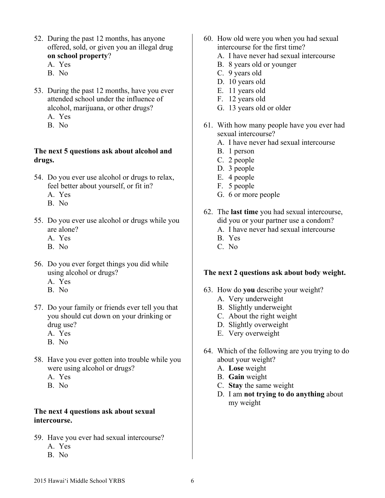- 52. During the past 12 months, has anyone offered, sold, or given you an illegal drug **on school property**?
	- A. Yes
	- B. No
- 53. During the past 12 months, have you ever attended school under the influence of alcohol, marijuana, or other drugs?
	- A. Yes
	- B. No

## **The next 5 questions ask about alcohol and drugs.**

- 54. Do you ever use alcohol or drugs to relax, feel better about yourself, or fit in?
	- A. Yes
	- B. No
- 55. Do you ever use alcohol or drugs while you are alone?
	- A. Yes
	- B. No
- 56. Do you ever forget things you did while using alcohol or drugs?
	- A. Yes
	- B. No
- 57. Do your family or friends ever tell you that you should cut down on your drinking or drug use?
	- A. Yes
	- B. No
- 58. Have you ever gotten into trouble while you were using alcohol or drugs?
	- A. Yes
	- B. No

# **The next 4 questions ask about sexual intercourse.**

- 59. Have you ever had sexual intercourse? A. Yes
	- B. No
- 60. How old were you when you had sexual intercourse for the first time?
	- A. I have never had sexual intercourse
	- B. 8 years old or younger
	- C. 9 years old
	- D. 10 years old
	- E. 11 years old
	- F. 12 years old
	- G. 13 years old or older
- 61. With how many people have you ever had sexual intercourse?
	- A. I have never had sexual intercourse
	- B. 1 person
	- C. 2 people
	- D. 3 people
	- E. 4 people
	- F. 5 people
	- G. 6 or more people
- 62. The **last time** you had sexual intercourse, did you or your partner use a condom?
	- A. I have never had sexual intercourse
	- B. Yes
	- C. No

# **The next 2 questions ask about body weight.**

- 63. How do **you** describe your weight?
	- A. Very underweight
	- B. Slightly underweight
	- C. About the right weight
	- D. Slightly overweight
	- E. Very overweight
- 64. Which of the following are you trying to do about your weight?
	- A. **Lose** weight
	- B. **Gain** weight
	- C. **Stay** the same weight
	- D. I am **not trying to do anything** about my weight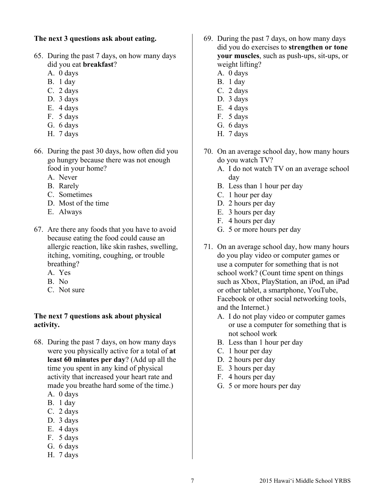## **The next 3 questions ask about eating.**

- 65. During the past 7 days, on how many days did you eat **breakfast**?
	- A. 0 days
	- B. 1 day
	- C. 2 days
	- D. 3 days
	- E. 4 days
	- F. 5 days
	- G. 6 days
	- H. 7 days
- 66. During the past 30 days, how often did you go hungry because there was not enough food in your home?
	- A. Never
	- B. Rarely
	- C. Sometimes
	- D. Most of the time
	- E. Always
- 67. Are there any foods that you have to avoid because eating the food could cause an allergic reaction, like skin rashes, swelling, itching, vomiting, coughing, or trouble breathing?
	- A. Yes
	- B. No
	- C. Not sure

## **The next 7 questions ask about physical activity.**

- 68. During the past 7 days, on how many days were you physically active for a total of **at least 60 minutes per day**? (Add up all the time you spent in any kind of physical activity that increased your heart rate and made you breathe hard some of the time.)
	- A. 0 days
	- B. 1 day
	- C. 2 days
	- D. 3 days
	- E. 4 days
	- F. 5 days
	- G. 6 days
	- H. 7 days
- 69. During the past 7 days, on how many days did you do exercises to **strengthen or tone your muscles**, such as push-ups, sit-ups, or weight lifting?
	- A. 0 days
	- B. 1 day
	- C. 2 days
	- D. 3 days
	- E. 4 days
	- F. 5 days
	- G. 6 days
	- H. 7 days
- 70. On an average school day, how many hours do you watch TV?
	- A. I do not watch TV on an average school day
	- B. Less than 1 hour per day
	- C. 1 hour per day
	- D. 2 hours per day
	- E. 3 hours per day
	- F. 4 hours per day
	- G. 5 or more hours per day
- 71. On an average school day, how many hours do you play video or computer games or use a computer for something that is not school work? (Count time spent on things such as Xbox, PlayStation, an iPod, an iPad or other tablet, a smartphone, YouTube, Facebook or other social networking tools, and the Internet.)
	- A. I do not play video or computer games or use a computer for something that is not school work
	- B. Less than 1 hour per day
	- C. 1 hour per day
	- D. 2 hours per day
	- E. 3 hours per day
	- F. 4 hours per day
	- G. 5 or more hours per day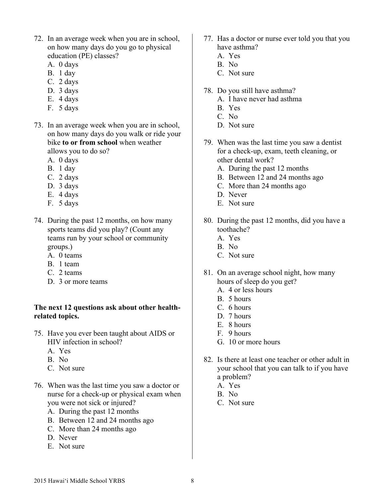- 72. In an average week when you are in school, on how many days do you go to physical education (PE) classes?
	- A. 0 days
	- B. 1 day
	- C. 2 days
	- D. 3 days
	- E. 4 days
	- F. 5 days
- 73. In an average week when you are in school, on how many days do you walk or ride your bike **to or from school** when weather allows you to do so?
	- A. 0 days
	- B. 1 day
	- C. 2 days
	- D. 3 days
	- E. 4 days
	- F. 5 days
- 74. During the past 12 months, on how many sports teams did you play? (Count any teams run by your school or community groups.)
	- A. 0 teams
	- B. 1 team
	- C. 2 teams
	- D<sub>3</sub> or more teams

## **The next 12 questions ask about other healthrelated topics.**

- 75. Have you ever been taught about AIDS or HIV infection in school?
	- A. Yes
	- B. No
	- C. Not sure
- 76. When was the last time you saw a doctor or nurse for a check-up or physical exam when you were not sick or injured?
	- A. During the past 12 months
	- B. Between 12 and 24 months ago
	- C. More than 24 months ago
	- D. Never
	- E. Not sure
- 77. Has a doctor or nurse ever told you that you have asthma?
	- A. Yes
	- B. No
	- C. Not sure
- 78. Do you still have asthma?
	- A. I have never had asthma
	- B. Yes
	- C. No
	- D. Not sure
- 79. When was the last time you saw a dentist for a check-up, exam, teeth cleaning, or other dental work?
	- A. During the past 12 months
	- B. Between 12 and 24 months ago
	- C. More than 24 months ago
	- D. Never
	- E. Not sure
- 80. During the past 12 months, did you have a toothache?
	- A. Yes
	- B. No
	- C. Not sure
- 81. On an average school night, how many hours of sleep do you get?
	- A. 4 or less hours
	- B. 5 hours
	- C. 6 hours
	- D. 7 hours
	- E. 8 hours
	- F. 9 hours
	- G. 10 or more hours
- 82. Is there at least one teacher or other adult in your school that you can talk to if you have a problem?
	- A. Yes
	- B. No
	- C. Not sure